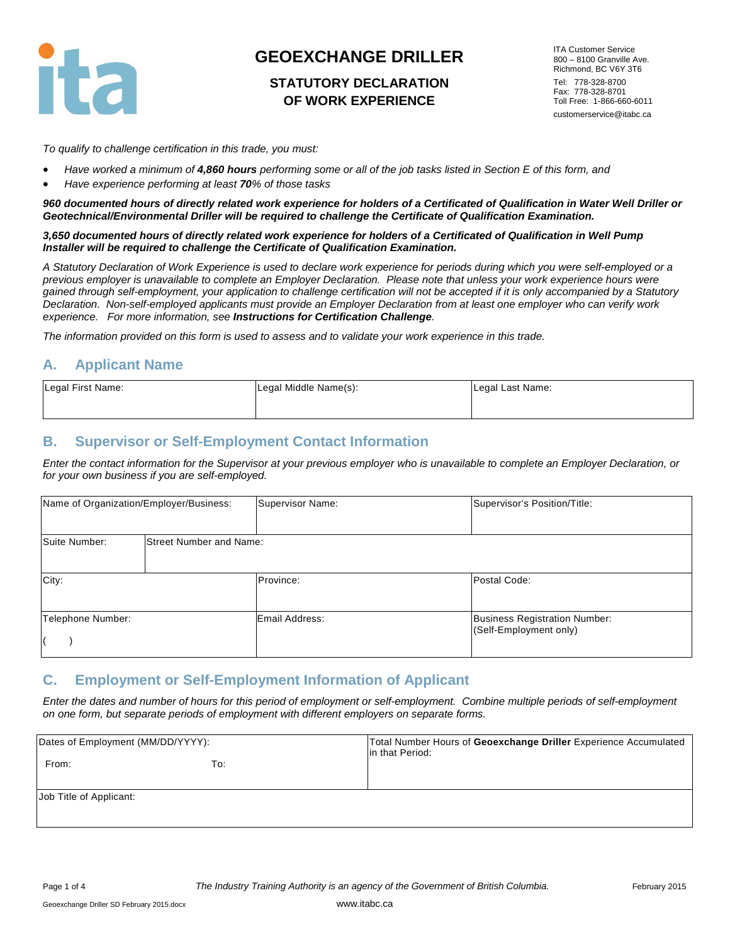

## **STATUTORY DECLARATION OF WORK EXPERIENCE**

ITA Customer Service 800 – 8100 Granville Ave. Richmond, BC V6Y 3T6 Tel: 778-328-8700 Fax: 778-328-8701 Toll Free: 1-866-660-6011 customerservice@itabc.ca

*To qualify to challenge certification in this trade, you must:* 

- *Have worked a minimum of 4,860 hours performing some or all of the job tasks listed in Section E of this form, and*
- *Have experience performing at least 70% of those tasks*

*960 documented hours of directly related work experience for holders of a Certificated of Qualification in Water Well Driller or Geotechnical/Environmental Driller will be required to challenge the Certificate of Qualification Examination.*

*3,650 documented hours of directly related work experience for holders of a Certificated of Qualification in Well Pump Installer will be required to challenge the Certificate of Qualification Examination.*

*A Statutory Declaration of Work Experience is used to declare work experience for periods during which you were self-employed or a previous employer is unavailable to complete an Employer Declaration. Please note that unless your work experience hours were gained through self-employment, your application to challenge certification will not be accepted if it is only accompanied by a Statutory Declaration. Non-self-employed applicants must provide an Employer Declaration from at least one employer who can verify work experience. For more information, see Instructions for Certification Challenge.* 

*The information provided on this form is used to assess and to validate your work experience in this trade.* 

#### **A. Applicant Name**

| Legal First Name: | Legal Middle Name(s): | Legal Last Name: |
|-------------------|-----------------------|------------------|
|                   |                       |                  |

#### **B. Supervisor or Self-Employment Contact Information**

*Enter the contact information for the Supervisor at your previous employer who is unavailable to complete an Employer Declaration, or for your own business if you are self-employed.*

| Name of Organization/Employer/Business: |                                | Supervisor Name: | Supervisor's Position/Title:                                   |
|-----------------------------------------|--------------------------------|------------------|----------------------------------------------------------------|
| Suite Number:                           | <b>Street Number and Name:</b> |                  |                                                                |
| City:                                   |                                | Province:        | Postal Code:                                                   |
| Telephone Number:                       |                                | Email Address:   | <b>Business Registration Number:</b><br>(Self-Employment only) |

#### **C. Employment or Self-Employment Information of Applicant**

*Enter the dates and number of hours for this period of employment or self-employment. Combine multiple periods of self-employment on one form, but separate periods of employment with different employers on separate forms.*

| Dates of Employment (MM/DD/YYYY): |     | Total Number Hours of Geoexchange Driller Experience Accumulated<br>In that Period: |  |
|-----------------------------------|-----|-------------------------------------------------------------------------------------|--|
| From:                             | To: |                                                                                     |  |
| Job Title of Applicant:           |     |                                                                                     |  |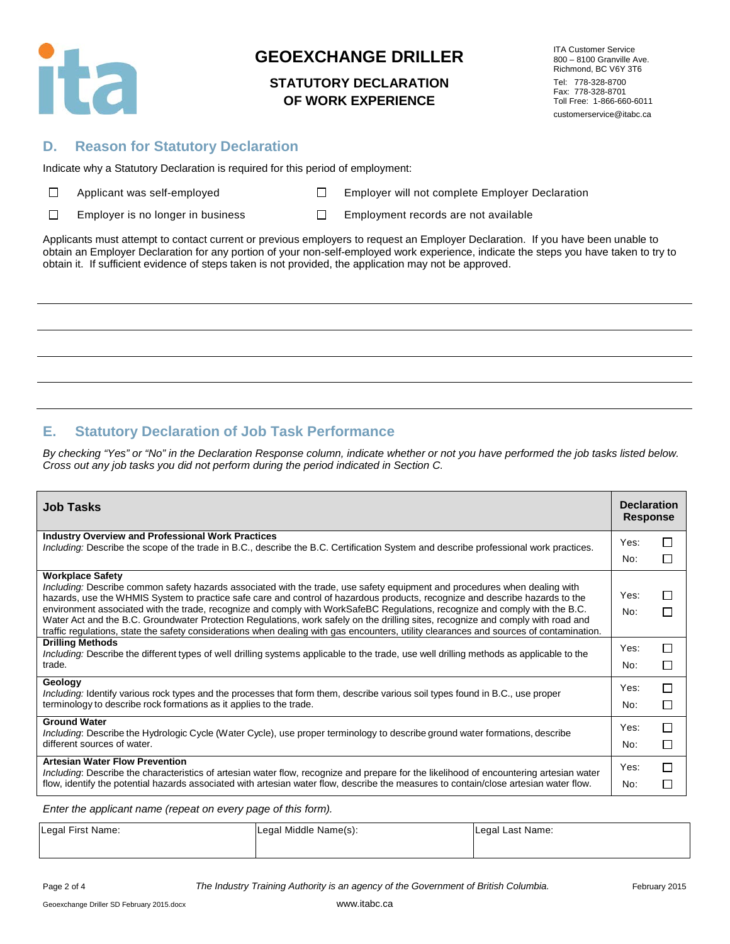

### **STATUTORY DECLARATION OF WORK EXPERIENCE**

ITA Customer Service 800 – 8100 Granville Ave. Richmond, BC V6Y 3T6 Tel: 778-328-8700 Fax: 778-328-8701 Toll Free: 1-866-660-6011 customerservice@itabc.ca

### **D. Reason for Statutory Declaration**

Indicate why a Statutory Declaration is required for this period of employment:

| $\Box$ | Applicant was self-employe |  |
|--------|----------------------------|--|
|        |                            |  |

Applicant Mapple Employer will not complete Employer Declaration

 $\Box$ Employer is no longer in business  $\Box$  Employment records are not available

Applicants must attempt to contact current or previous employers to request an Employer Declaration. If you have been unable to obtain an Employer Declaration for any portion of your non-self-employed work experience, indicate the steps you have taken to try to obtain it. If sufficient evidence of steps taken is not provided, the application may not be approved.

## **E. Statutory Declaration of Job Task Performance**

*By checking "Yes" or "No" in the Declaration Response column, indicate whether or not you have performed the job tasks listed below. Cross out any job tasks you did not perform during the period indicated in Section C.*

| <b>Job Tasks</b>                                                                                                                                                                                                                                                                                                                                                                                                                                                                                                                                                                                                                                                                                    | <b>Declaration</b><br><b>Response</b> |              |
|-----------------------------------------------------------------------------------------------------------------------------------------------------------------------------------------------------------------------------------------------------------------------------------------------------------------------------------------------------------------------------------------------------------------------------------------------------------------------------------------------------------------------------------------------------------------------------------------------------------------------------------------------------------------------------------------------------|---------------------------------------|--------------|
| <b>Industry Overview and Professional Work Practices</b><br>Including: Describe the scope of the trade in B.C., describe the B.C. Certification System and describe professional work practices.                                                                                                                                                                                                                                                                                                                                                                                                                                                                                                    | Yes:<br>No:                           | П<br>П       |
| <b>Workplace Safety</b><br>Including: Describe common safety hazards associated with the trade, use safety equipment and procedures when dealing with<br>hazards, use the WHMIS System to practice safe care and control of hazardous products, recognize and describe hazards to the<br>environment associated with the trade, recognize and comply with WorkSafeBC Regulations, recognize and comply with the B.C.<br>Water Act and the B.C. Groundwater Protection Regulations, work safely on the drilling sites, recognize and comply with road and<br>traffic regulations, state the safety considerations when dealing with gas encounters, utility clearances and sources of contamination. | Yes:<br>No:                           | П<br>П       |
| <b>Drilling Methods</b><br>Including: Describe the different types of well drilling systems applicable to the trade, use well drilling methods as applicable to the<br>trade.                                                                                                                                                                                                                                                                                                                                                                                                                                                                                                                       | Yes:<br>No:                           | □<br>П       |
| Geology<br>Including: Identify various rock types and the processes that form them, describe various soil types found in B.C., use proper<br>terminology to describe rock formations as it applies to the trade.                                                                                                                                                                                                                                                                                                                                                                                                                                                                                    | Yes:<br>No:                           | П<br>$\Box$  |
| <b>Ground Water</b><br>Including: Describe the Hydrologic Cycle (Water Cycle), use proper terminology to describe ground water formations, describe<br>different sources of water.                                                                                                                                                                                                                                                                                                                                                                                                                                                                                                                  | Yes:<br>No:                           | П<br>П       |
| <b>Artesian Water Flow Prevention</b><br>Including: Describe the characteristics of artesian water flow, recognize and prepare for the likelihood of encountering artesian water<br>flow, identify the potential hazards associated with artesian water flow, describe the measures to contain/close artesian water flow.                                                                                                                                                                                                                                                                                                                                                                           | Yes:<br>No:                           | П<br>$\perp$ |

*Enter the applicant name (repeat on every page of this form).*

| Legal First Name: | Legal Middle Name(s): | Legal Last Name: |
|-------------------|-----------------------|------------------|
|                   |                       |                  |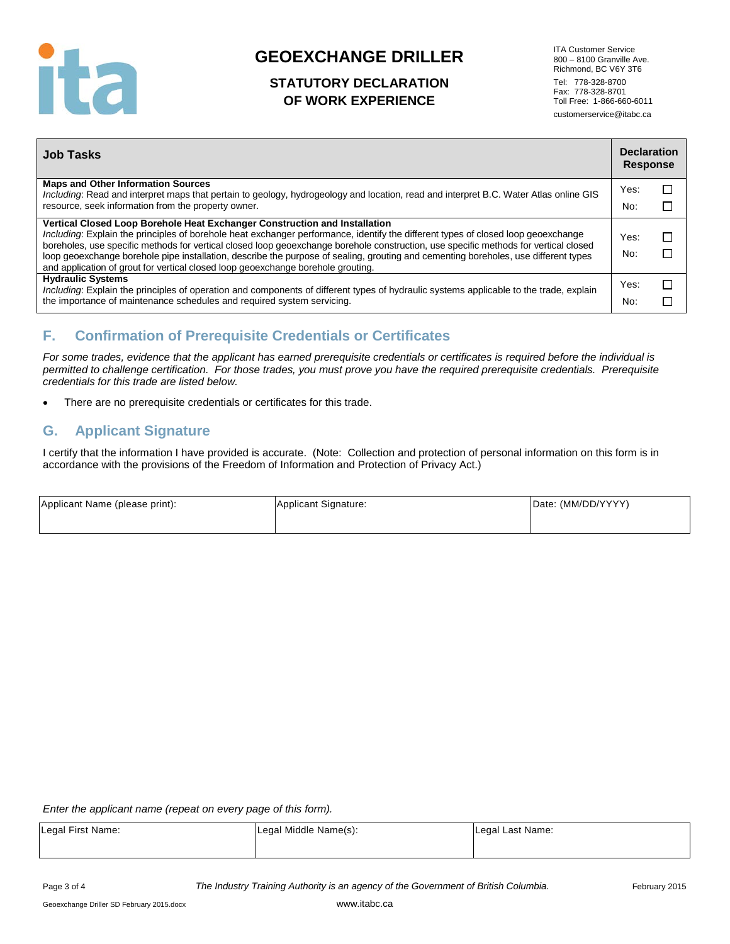

## **STATUTORY DECLARATION OF WORK EXPERIENCE**

ITA Customer Service 800 – 8100 Granville Ave. Richmond, BC V6Y 3T6 Tel: 778-328-8700 Fax: 778-328-8701 Toll Free: 1-866-660-6011 customerservice@itabc.ca

| <b>Job Tasks</b>                                                                                                                                                                                                                                                                                                                                                                                                                                                                                                                                                                   | <b>Declaration</b><br><b>Response</b> |  |
|------------------------------------------------------------------------------------------------------------------------------------------------------------------------------------------------------------------------------------------------------------------------------------------------------------------------------------------------------------------------------------------------------------------------------------------------------------------------------------------------------------------------------------------------------------------------------------|---------------------------------------|--|
| <b>Maps and Other Information Sources</b><br>Including: Read and interpret maps that pertain to geology, hydrogeology and location, read and interpret B.C. Water Atlas online GIS                                                                                                                                                                                                                                                                                                                                                                                                 | Yes:                                  |  |
| resource, seek information from the property owner.                                                                                                                                                                                                                                                                                                                                                                                                                                                                                                                                | No:                                   |  |
| Vertical Closed Loop Borehole Heat Exchanger Construction and Installation<br>Including: Explain the principles of borehole heat exchanger performance, identify the different types of closed loop geoexchange<br>boreholes, use specific methods for vertical closed loop geoexchange borehole construction, use specific methods for vertical closed<br>loop geoexchange borehole pipe installation, describe the purpose of sealing, grouting and cementing boreholes, use different types<br>and application of grout for vertical closed loop geoexchange borehole grouting. | Yes:<br>No:                           |  |
| <b>Hydraulic Systems</b><br>Including: Explain the principles of operation and components of different types of hydraulic systems applicable to the trade, explain<br>the importance of maintenance schedules and required system servicing.                                                                                                                                                                                                                                                                                                                                       | Yes:<br>No:                           |  |

## **F. Confirmation of Prerequisite Credentials or Certificates**

*For some trades, evidence that the applicant has earned prerequisite credentials or certificates is required before the individual is permitted to challenge certification. For those trades, you must prove you have the required prerequisite credentials. Prerequisite credentials for this trade are listed below.*

There are no prerequisite credentials or certificates for this trade.

### **G. Applicant Signature**

I certify that the information I have provided is accurate. (Note: Collection and protection of personal information on this form is in accordance with the provisions of the Freedom of Information and Protection of Privacy Act.)

| Applicant Name (please print): | Applicant Signature: | Date: (MM/DD/YYYY) |
|--------------------------------|----------------------|--------------------|
|                                |                      |                    |

*Enter the applicant name (repeat on every page of this form).*

| Legal First Name: | Legal Middle Name(s): | Legal Last Name: |
|-------------------|-----------------------|------------------|
|                   |                       |                  |